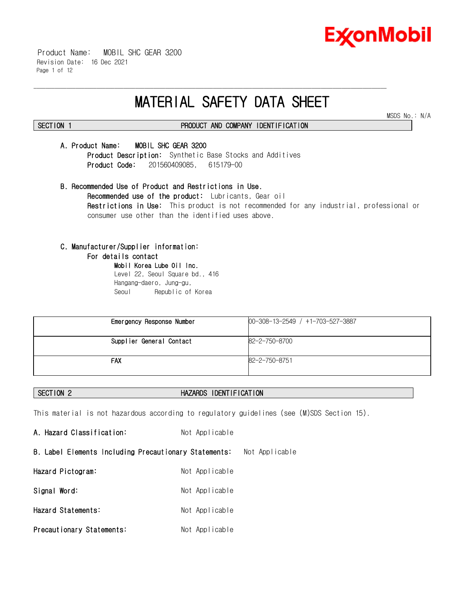

 Product Name: MOBIL SHC GEAR 3200 Revision Date: 16 Dec 2021 Page 1 of 12

# **MATERIAL SAFETY DATA SHEET**

\_\_\_\_\_\_\_\_\_\_\_\_\_\_\_\_\_\_\_\_\_\_\_\_\_\_\_\_\_\_\_\_\_\_\_\_\_\_\_\_\_\_\_\_\_\_\_\_\_\_\_\_\_\_\_\_\_\_\_\_\_\_\_\_\_\_\_\_\_\_\_\_\_\_\_\_\_\_\_\_\_\_\_\_\_\_\_\_\_\_\_\_\_\_\_\_\_\_\_\_\_\_\_\_\_\_\_\_\_\_\_\_\_\_\_\_\_\_

MSDS No.: N/A

# **SECTION 1 PRODUCT AND COMPANY IDENTIFICATION**

#### **A. Product Name: MOBIL SHC GEAR 3200**

**Product Description:** Synthetic Base Stocks and Additives  **Product Code:** 201560409085, 615179-00

**B. Recommended Use of Product and Restrictions in Use. Recommended use of the product:** Lubricants, Gear oil **Restrictions in Use:** This product is not recommended for any industrial, professional or consumer use other than the identified uses above.

### **C. Manufacturer/Supplier information:**

#### **For details contact**

**Mobil Korea Lube Oil Inc.**  Level 22, Seoul Square bd., 416 Hangang-daero, Jung-gu, Seoul Republic of Korea

| Emergency Response Number | $00-308-13-2549$ / $+1-703-527-3887$ |
|---------------------------|--------------------------------------|
| Supplier General Contact  | 82-2-750-8700                        |
| FAX                       | 82-2-750-8751                        |

### **SECTION 2 HAZARDS IDENTIFICATION**

This material is not hazardous according to regulatory guidelines (see (M)SDS Section 15).

A. Hazard Classification: Not Applicable **B. Label Elements Including Precautionary Statements:** Not Applicable **Hazard Pictogram:** Not Applicable Signal Word: Not Applicable **Hazard Statements:** Not Applicable **Precautionary Statements:** Not Applicable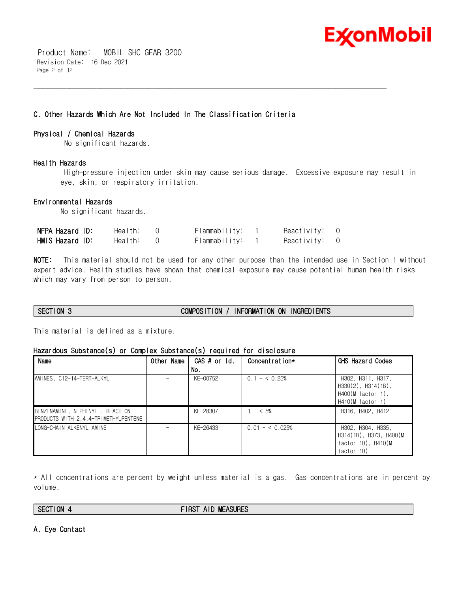

 Product Name: MOBIL SHC GEAR 3200 Revision Date: 16 Dec 2021 Page 2 of 12

### **C. Other Hazards Which Are Not Included In The Classification Criteria**

#### **Physical / Chemical Hazards**

No significant hazards.

### **Health Hazards**

High-pressure injection under skin may cause serious damage. Excessive exposure may result in eye, skin, or respiratory irritation.

\_\_\_\_\_\_\_\_\_\_\_\_\_\_\_\_\_\_\_\_\_\_\_\_\_\_\_\_\_\_\_\_\_\_\_\_\_\_\_\_\_\_\_\_\_\_\_\_\_\_\_\_\_\_\_\_\_\_\_\_\_\_\_\_\_\_\_\_\_\_\_\_\_\_\_\_\_\_\_\_\_\_\_\_\_\_\_\_\_\_\_\_\_\_\_\_\_\_\_\_\_\_\_\_\_\_\_\_\_\_\_\_\_\_\_\_\_\_

### **Environmental Hazards**

No significant hazards.

| NFPA Hazard ID: | Health: | Flammability: | Reactivity: 0 |  |
|-----------------|---------|---------------|---------------|--|
| HMIS Hazard ID: | Health: | Flammability: | Reactivity: 0 |  |

**NOTE:** This material should not be used for any other purpose than the intended use in Section 1 without expert advice. Health studies have shown that chemical exposure may cause potential human health risks which may vary from person to person.

## **SECTION 3 COMPOSITION / INFORMATION ON INGREDIENTS**

This material is defined as a mixture.

### **Hazardous Substance(s) or Complex Substance(s) required for disclosure**

| Name                                                                     | Other Name | CAS # or Id.<br>No. | Concentration*  | GHS Hazard Codes                                                                         |
|--------------------------------------------------------------------------|------------|---------------------|-----------------|------------------------------------------------------------------------------------------|
| AMINES, C12-14-TERT-ALKYL                                                |            | KF-00752            | $0.1 - 5.0.25%$ | H302, H311, H317,<br>$H330(2)$ , $H314(1B)$ ,<br>$H400(M$ factor 1),<br>H410(M factor 1) |
| BENZENAMINE, N-PHENYL-, REACTION<br>PRODUCTS WITH 2.4.4-TRIMETHYLPENTENE |            | KF-28307            | $- < 5\%$       | H316, H402, H412                                                                         |
| IONG-CHAIN ALKENYL AMINE                                                 |            | KF-26433            | $0.01 - 5.025%$ | H302, H304, H335,<br>H314(1B), H373, H400(M<br>factor $10$ ), $H410(M)$<br>factor 10)    |

\* All concentrations are percent by weight unless material is a gas. Gas concentrations are in percent by volume.

**SECTION 4 FIRST AID MEASURES**

#### **A. Eye Contact**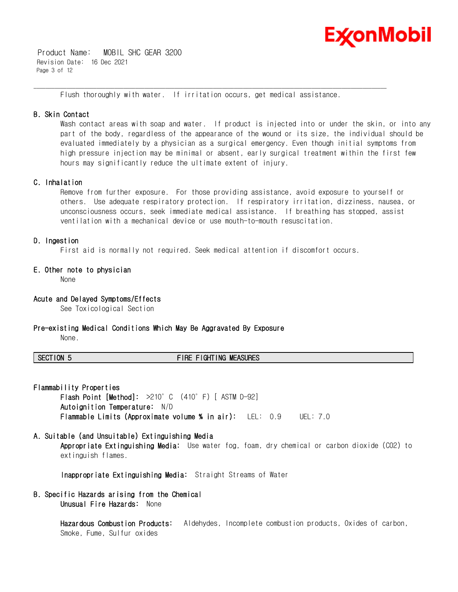

 Product Name: MOBIL SHC GEAR 3200 Revision Date: 16 Dec 2021 Page 3 of 12

Flush thoroughly with water. If irritation occurs, get medical assistance.

\_\_\_\_\_\_\_\_\_\_\_\_\_\_\_\_\_\_\_\_\_\_\_\_\_\_\_\_\_\_\_\_\_\_\_\_\_\_\_\_\_\_\_\_\_\_\_\_\_\_\_\_\_\_\_\_\_\_\_\_\_\_\_\_\_\_\_\_\_\_\_\_\_\_\_\_\_\_\_\_\_\_\_\_\_\_\_\_\_\_\_\_\_\_\_\_\_\_\_\_\_\_\_\_\_\_\_\_\_\_\_\_\_\_\_\_\_\_

#### **B. Skin Contact**

Wash contact areas with soap and water. If product is injected into or under the skin, or into any part of the body, regardless of the appearance of the wound or its size, the individual should be evaluated immediately by a physician as a surgical emergency. Even though initial symptoms from high pressure injection may be minimal or absent, early surgical treatment within the first few hours may significantly reduce the ultimate extent of injury.

### **C. Inhalation**

Remove from further exposure. For those providing assistance, avoid exposure to yourself or others. Use adequate respiratory protection. If respiratory irritation, dizziness, nausea, or unconsciousness occurs, seek immediate medical assistance. If breathing has stopped, assist ventilation with a mechanical device or use mouth-to-mouth resuscitation.

### **D. Ingestion**

First aid is normally not required. Seek medical attention if discomfort occurs.

### **E. Other note to physician**

None

#### **Acute and Delayed Symptoms/Effects**

See Toxicological Section

#### **Pre-existing Medical Conditions Which May Be Aggravated By Exposure**

None.

### **SECTION 5 FIRE FIGHTING MEASURES**

**Flammability Properties** 

**Flash Point [Method]:** >210°C (410°F) [ ASTM D-92] **Autoignition Temperature:** N/D **Flammable Limits (Approximate volume % in air):** LEL: 0.9 UEL: 7.0

#### **A. Suitable (and Unsuitable) Extinguishing Media**

**Appropriate Extinguishing Media:** Use water fog, foam, dry chemical or carbon dioxide (CO2) to extinguish flames.

**Inappropriate Extinguishing Media:** Straight Streams of Water

#### **B. Specific Hazards arising from the Chemical Unusual Fire Hazards:** None

**Hazardous Combustion Products:** Aldehydes, Incomplete combustion products, Oxides of carbon, Smoke, Fume, Sulfur oxides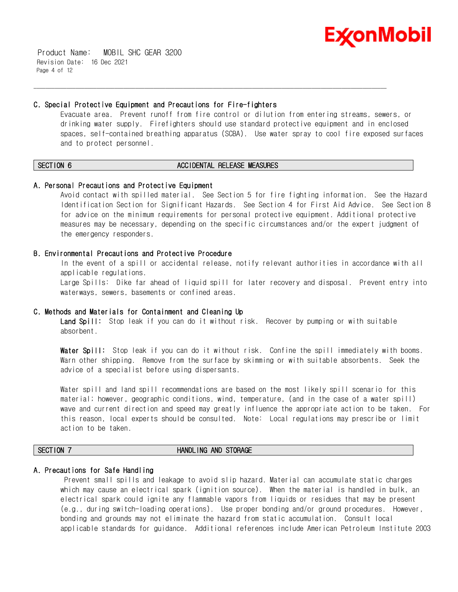

 Product Name: MOBIL SHC GEAR 3200 Revision Date: 16 Dec 2021 Page 4 of 12

#### **C. Special Protective Equipment and Precautions for Fire-fighters**

Evacuate area. Prevent runoff from fire control or dilution from entering streams, sewers, or drinking water supply. Firefighters should use standard protective equipment and in enclosed spaces, self-contained breathing apparatus (SCBA). Use water spray to cool fire exposed surfaces and to protect personnel.

#### **SECTION 6 ACCIDENTAL RELEASE MEASURES**

\_\_\_\_\_\_\_\_\_\_\_\_\_\_\_\_\_\_\_\_\_\_\_\_\_\_\_\_\_\_\_\_\_\_\_\_\_\_\_\_\_\_\_\_\_\_\_\_\_\_\_\_\_\_\_\_\_\_\_\_\_\_\_\_\_\_\_\_\_\_\_\_\_\_\_\_\_\_\_\_\_\_\_\_\_\_\_\_\_\_\_\_\_\_\_\_\_\_\_\_\_\_\_\_\_\_\_\_\_\_\_\_\_\_\_\_\_\_

#### **A. Personal Precautions and Protective Equipment**

Avoid contact with spilled material. See Section 5 for fire fighting information. See the Hazard Identification Section for Significant Hazards. See Section 4 for First Aid Advice. See Section 8 for advice on the minimum requirements for personal protective equipment. Additional protective measures may be necessary, depending on the specific circumstances and/or the expert judgment of the emergency responders.

#### **B. Environmental Precautions and Protective Procedure**

In the event of a spill or accidental release, notify relevant authorities in accordance with all applicable regulations.

Large Spills: Dike far ahead of liquid spill for later recovery and disposal. Prevent entry into waterways, sewers, basements or confined areas.

#### **C. Methods and Materials for Containment and Cleaning Up**

**Land Spill:** Stop leak if you can do it without risk. Recover by pumping or with suitable absorbent.

**Water Spill:** Stop leak if you can do it without risk. Confine the spill immediately with booms. Warn other shipping. Remove from the surface by skimming or with suitable absorbents. Seek the advice of a specialist before using dispersants.

Water spill and land spill recommendations are based on the most likely spill scenario for this material; however, geographic conditions, wind, temperature, (and in the case of a water spill) wave and current direction and speed may greatly influence the appropriate action to be taken. For this reason, local experts should be consulted. Note: Local regulations may prescribe or limit action to be taken.

#### **SECTION 7 HANDLING AND STORAGE**

#### **A. Precautions for Safe Handling**

Prevent small spills and leakage to avoid slip hazard. Material can accumulate static charges which may cause an electrical spark (ignition source). When the material is handled in bulk, an electrical spark could ignite any flammable vapors from liquids or residues that may be present (e.g., during switch-loading operations). Use proper bonding and/or ground procedures. However, bonding and grounds may not eliminate the hazard from static accumulation. Consult local applicable standards for guidance. Additional references include American Petroleum Institute 2003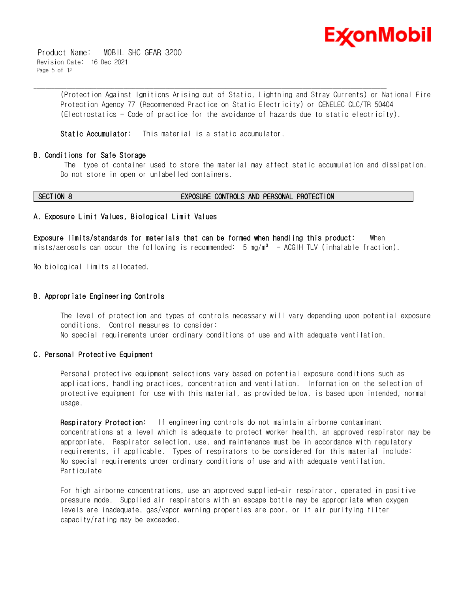

 Product Name: MOBIL SHC GEAR 3200 Revision Date: 16 Dec 2021 Page 5 of 12

> (Protection Against Ignitions Arising out of Static, Lightning and Stray Currents) or National Fire Protection Agency 77 (Recommended Practice on Static Electricity) or CENELEC CLC/TR 50404 (Electrostatics - Code of practice for the avoidance of hazards due to static electricity).

**Static Accumulator:** This material is a static accumulator.

#### **B. Conditions for Safe Storage**

The type of container used to store the material may affect static accumulation and dissipation. Do not store in open or unlabelled containers.

#### **SECTION 8 EXPOSURE CONTROLS AND PERSONAL PROTECTION**

#### **A. Exposure Limit Values, Biological Limit Values**

**Exposure limits/standards for materials that can be formed when handling this product:** When mists/aerosols can occur the following is recommended:  $5 \text{ mg/m}^3$  - ACGIH TLV (inhalable fraction).

\_\_\_\_\_\_\_\_\_\_\_\_\_\_\_\_\_\_\_\_\_\_\_\_\_\_\_\_\_\_\_\_\_\_\_\_\_\_\_\_\_\_\_\_\_\_\_\_\_\_\_\_\_\_\_\_\_\_\_\_\_\_\_\_\_\_\_\_\_\_\_\_\_\_\_\_\_\_\_\_\_\_\_\_\_\_\_\_\_\_\_\_\_\_\_\_\_\_\_\_\_\_\_\_\_\_\_\_\_\_\_\_\_\_\_\_\_\_

No biological limits allocated.

#### **B. Appropriate Engineering Controls**

The level of protection and types of controls necessary will vary depending upon potential exposure conditions. Control measures to consider: No special requirements under ordinary conditions of use and with adequate ventilation.

#### **C. Personal Protective Equipment**

Personal protective equipment selections vary based on potential exposure conditions such as applications, handling practices, concentration and ventilation. Information on the selection of protective equipment for use with this material, as provided below, is based upon intended, normal usage.

**Respiratory Protection:** If engineering controls do not maintain airborne contaminant concentrations at a level which is adequate to protect worker health, an approved respirator may be appropriate. Respirator selection, use, and maintenance must be in accordance with regulatory requirements, if applicable. Types of respirators to be considered for this material include: No special requirements under ordinary conditions of use and with adequate ventilation. Particulate

For high airborne concentrations, use an approved supplied-air respirator, operated in positive pressure mode. Supplied air respirators with an escape bottle may be appropriate when oxygen levels are inadequate, gas/vapor warning properties are poor, or if air purifying filter capacity/rating may be exceeded.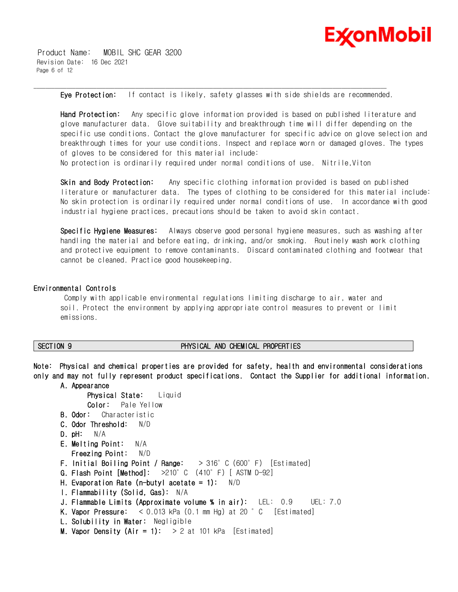

 Product Name: MOBIL SHC GEAR 3200 Revision Date: 16 Dec 2021 Page 6 of 12

**Eye Protection:** If contact is likely, safety glasses with side shields are recommended.

\_\_\_\_\_\_\_\_\_\_\_\_\_\_\_\_\_\_\_\_\_\_\_\_\_\_\_\_\_\_\_\_\_\_\_\_\_\_\_\_\_\_\_\_\_\_\_\_\_\_\_\_\_\_\_\_\_\_\_\_\_\_\_\_\_\_\_\_\_\_\_\_\_\_\_\_\_\_\_\_\_\_\_\_\_\_\_\_\_\_\_\_\_\_\_\_\_\_\_\_\_\_\_\_\_\_\_\_\_\_\_\_\_\_\_\_\_\_

**Hand Protection:** Any specific glove information provided is based on published literature and glove manufacturer data. Glove suitability and breakthrough time will differ depending on the specific use conditions. Contact the glove manufacturer for specific advice on glove selection and breakthrough times for your use conditions. Inspect and replace worn or damaged gloves. The types of gloves to be considered for this material include: No protection is ordinarily required under normal conditions of use. Nitrile,Viton

**Skin and Body Protection:** Any specific clothing information provided is based on published literature or manufacturer data. The types of clothing to be considered for this material include: No skin protection is ordinarily required under normal conditions of use. In accordance with good industrial hygiene practices, precautions should be taken to avoid skin contact.

**Specific Hygiene Measures:** Always observe good personal hygiene measures, such as washing after handling the material and before eating, drinking, and/or smoking. Routinely wash work clothing and protective equipment to remove contaminants. Discard contaminated clothing and footwear that cannot be cleaned. Practice good housekeeping.

#### **Environmental Controls**

Comply with applicable environmental regulations limiting discharge to air, water and soil. Protect the environment by applying appropriate control measures to prevent or limit emissions.

#### **SECTION 9 PHYSICAL AND CHEMICAL PROPERTIES**

**Note: Physical and chemical properties are provided for safety, health and environmental considerations only and may not fully represent product specifications. Contact the Supplier for additional information.** 

#### **A. Appearance**

```
Physical State: Liquid
      Color: Pale Yellow
B. Odor: Characteristic
C. Odor Threshold: N/D
D. pH: N/A
E. Melting Point: N/A
   Freezing Point: N/D
 F. Initial Boiling Point / Range: > 316°C (600°F) [Estimated]
G. Flash Point [Method]: >210°C (410°F) [ ASTM D-92]
H. Evaporation Rate (n-butyl acetate = 1): N/D 
I. Flammability (Solid, Gas): N/A
J. Flammable Limits (Approximate volume % in air): LEL: 0.9 UEL: 7.0
K. Vapor Pressure: < 0.013 kPa (0.1 mm Hg) at 20 °C [Estimated]
 L. Solubility in Water: Negligible
M. Vapor Density (Air = 1): > 2 at 101 kPa [Estimated]
```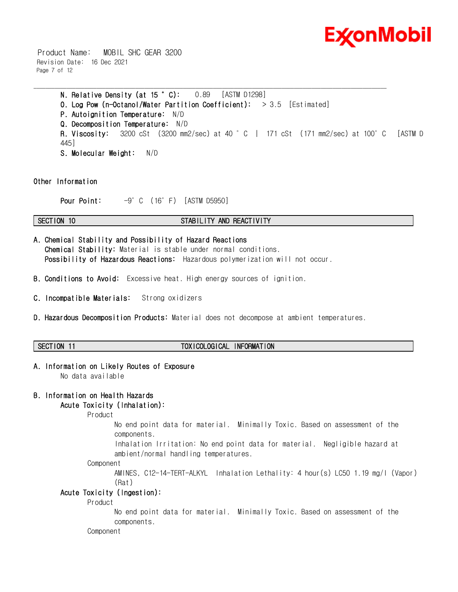

 Product Name: MOBIL SHC GEAR 3200 Revision Date: 16 Dec 2021 Page 7 of 12

> **N. Relative Density (at 15 °C):** 0.89 [ASTM D1298] **O. Log Pow (n-Octanol/Water Partition Coefficient):** > 3.5 [Estimated] **P. Autoignition Temperature:** N/D **Q. Decomposition Temperature:** N/D **R. Viscosity:** 3200 cSt (3200 mm2/sec) at 40 °C | 171 cSt (171 mm2/sec) at 100°C [ASTM D 445] **S. Molecular Weight:** N/D

**Other Information**

**Pour Point:** -9°C (16°F) [ASTM D5950]

#### **SECTION 10 STABILITY AND REACTIVITY**

\_\_\_\_\_\_\_\_\_\_\_\_\_\_\_\_\_\_\_\_\_\_\_\_\_\_\_\_\_\_\_\_\_\_\_\_\_\_\_\_\_\_\_\_\_\_\_\_\_\_\_\_\_\_\_\_\_\_\_\_\_\_\_\_\_\_\_\_\_\_\_\_\_\_\_\_\_\_\_\_\_\_\_\_\_\_\_\_\_\_\_\_\_\_\_\_\_\_\_\_\_\_\_\_\_\_\_\_\_\_\_\_\_\_\_\_\_\_

- **A. Chemical Stability and Possibility of Hazard Reactions Chemical Stability:** Material is stable under normal conditions.  **Possibility of Hazardous Reactions:** Hazardous polymerization will not occur.
- **B. Conditions to Avoid:** Excessive heat. High energy sources of ignition.
- **C. Incompatible Materials:** Strong oxidizers
- **D. Hazardous Decomposition Products:** Material does not decompose at ambient temperatures.

#### **SECTION 11 TOXICOLOGICAL INFORMATION**

#### **A. Information on Likely Routes of Exposure**

No data available

# **B. Information on Health Hazards**

# **Acute Toxicity (Inhalation):**

Product

No end point data for material. Minimally Toxic. Based on assessment of the components.

Inhalation Irritation: No end point data for material. Negligible hazard at ambient/normal handling temperatures.

Component

AMINES, C12-14-TERT-ALKYL Inhalation Lethality: 4 hour(s) LC50 1.19 mg/l (Vapor) (Rat)

#### **Acute Toxicity (Ingestion):**

Product

No end point data for material. Minimally Toxic. Based on assessment of the components.

Component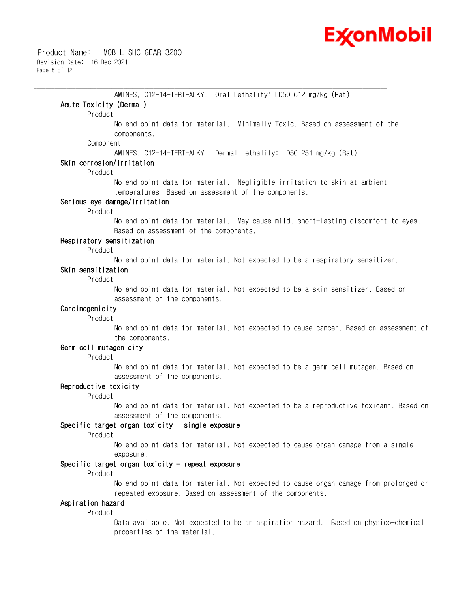

AMINES, C12-14-TERT-ALKYL Oral Lethality: LD50 612 mg/kg (Rat) **Acute Toxicity (Dermal)** Product No end point data for material. Minimally Toxic. Based on assessment of the components. Component AMINES, C12-14-TERT-ALKYL Dermal Lethality: LD50 251 mg/kg (Rat) **Skin corrosion/irritation**  Product No end point data for material. Negligible irritation to skin at ambient temperatures. Based on assessment of the components. **Serious eye damage/irritation** Product No end point data for material. May cause mild, short-lasting discomfort to eyes. Based on assessment of the components. **Respiratory sensitization** Product No end point data for material. Not expected to be a respiratory sensitizer. **Skin sensitization** Product No end point data for material. Not expected to be a skin sensitizer. Based on assessment of the components. **Carcinogenicity** Product No end point data for material. Not expected to cause cancer. Based on assessment of the components. **Germ cell mutagenicity**  Product No end point data for material. Not expected to be a germ cell mutagen. Based on assessment of the components. **Reproductive toxicity** 

\_\_\_\_\_\_\_\_\_\_\_\_\_\_\_\_\_\_\_\_\_\_\_\_\_\_\_\_\_\_\_\_\_\_\_\_\_\_\_\_\_\_\_\_\_\_\_\_\_\_\_\_\_\_\_\_\_\_\_\_\_\_\_\_\_\_\_\_\_\_\_\_\_\_\_\_\_\_\_\_\_\_\_\_\_\_\_\_\_\_\_\_\_\_\_\_\_\_\_\_\_\_\_\_\_\_\_\_\_\_\_\_\_\_\_\_\_\_

Product

No end point data for material. Not expected to be a reproductive toxicant. Based on assessment of the components.

### **Specific target organ toxicity - single exposure**

Product

No end point data for material. Not expected to cause organ damage from a single exposure.

### **Specific target organ toxicity - repeat exposure**

Product

No end point data for material. Not expected to cause organ damage from prolonged or repeated exposure. Based on assessment of the components.

### **Aspiration hazard**

Product

Data available. Not expected to be an aspiration hazard. Based on physico-chemical properties of the material.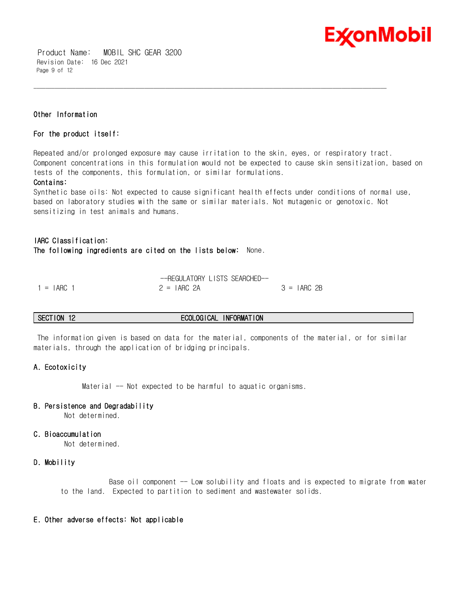

 Product Name: MOBIL SHC GEAR 3200 Revision Date: 16 Dec 2021 Page 9 of 12

#### **Other Information**

#### **For the product itself:**

Repeated and/or prolonged exposure may cause irritation to the skin, eyes, or respiratory tract. Component concentrations in this formulation would not be expected to cause skin sensitization, based on tests of the components, this formulation, or similar formulations.

\_\_\_\_\_\_\_\_\_\_\_\_\_\_\_\_\_\_\_\_\_\_\_\_\_\_\_\_\_\_\_\_\_\_\_\_\_\_\_\_\_\_\_\_\_\_\_\_\_\_\_\_\_\_\_\_\_\_\_\_\_\_\_\_\_\_\_\_\_\_\_\_\_\_\_\_\_\_\_\_\_\_\_\_\_\_\_\_\_\_\_\_\_\_\_\_\_\_\_\_\_\_\_\_\_\_\_\_\_\_\_\_\_\_\_\_\_\_

#### **Contains:**

Synthetic base oils: Not expected to cause significant health effects under conditions of normal use, based on laboratory studies with the same or similar materials. Not mutagenic or genotoxic. Not sensitizing in test animals and humans.

# **IARC Classification: The following ingredients are cited on the lists below:** None.

|              | -REGULATORY LISTS SEARCHED- |              |
|--------------|-----------------------------|--------------|
| $1 = IARG$ 1 | $2 = IARG$ 2A               | $3 = IARG2B$ |

#### **SECTION 12 ECOLOGICAL INFORMATION**

The information given is based on data for the material, components of the material, or for similar materials, through the application of bridging principals.

#### **A. Ecotoxicity**

Material -- Not expected to be harmful to aquatic organisms.

#### **B. Persistence and Degradability**

Not determined.

#### **C. Bioaccumulation**

Not determined.

#### **D. Mobility**

Base oil component -- Low solubility and floats and is expected to migrate from water to the land. Expected to partition to sediment and wastewater solids.

#### **E. Other adverse effects: Not applicable**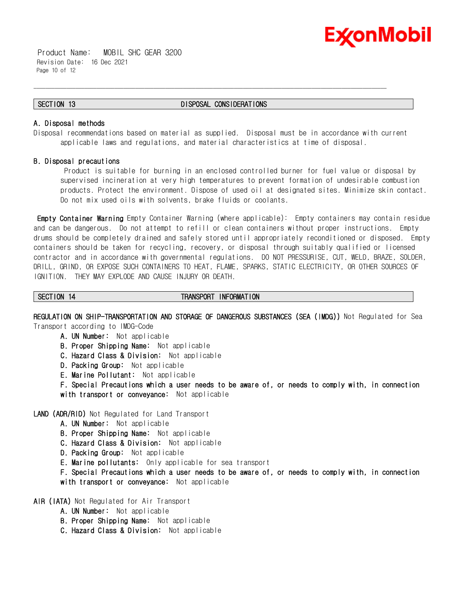

 Product Name: MOBIL SHC GEAR 3200 Revision Date: 16 Dec 2021 Page 10 of 12

#### **SECTION 13 DISPOSAL CONSIDERATIONS**

\_\_\_\_\_\_\_\_\_\_\_\_\_\_\_\_\_\_\_\_\_\_\_\_\_\_\_\_\_\_\_\_\_\_\_\_\_\_\_\_\_\_\_\_\_\_\_\_\_\_\_\_\_\_\_\_\_\_\_\_\_\_\_\_\_\_\_\_\_\_\_\_\_\_\_\_\_\_\_\_\_\_\_\_\_\_\_\_\_\_\_\_\_\_\_\_\_\_\_\_\_\_\_\_\_\_\_\_\_\_\_\_\_\_\_\_\_\_

#### **A. Disposal methods**

Disposal recommendations based on material as supplied. Disposal must be in accordance with current applicable laws and regulations, and material characteristics at time of disposal.

#### **B. Disposal precautions**

Product is suitable for burning in an enclosed controlled burner for fuel value or disposal by supervised incineration at very high temperatures to prevent formation of undesirable combustion products. Protect the environment. Dispose of used oil at designated sites. Minimize skin contact. Do not mix used oils with solvents, brake fluids or coolants.

**Empty Container Warning** Empty Container Warning (where applicable): Empty containers may contain residue and can be dangerous. Do not attempt to refill or clean containers without proper instructions. Empty drums should be completely drained and safely stored until appropriately reconditioned or disposed. Empty containers should be taken for recycling, recovery, or disposal through suitably qualified or licensed contractor and in accordance with governmental regulations. DO NOT PRESSURISE, CUT, WELD, BRAZE, SOLDER, DRILL, GRIND, OR EXPOSE SUCH CONTAINERS TO HEAT, FLAME, SPARKS, STATIC ELECTRICITY, OR OTHER SOURCES OF IGNITION. THEY MAY EXPLODE AND CAUSE INJURY OR DEATH.

#### **SECTION 14 TRANSPORT INFORMATION**

**REGULATION ON SHIP-TRANSPORTATION AND STORAGE OF DANGEROUS SUBSTANCES (SEA (IMDG))** Not Regulated for Sea

Transport according to IMDG-Code

- **A. UN Number:** Not applicable
- **B. Proper Shipping Name:** Not applicable
- **C. Hazard Class & Division:** Not applicable
- **D. Packing Group:** Not applicable
- **E. Marine Pollutant:** Not applicable

**F. Special Precautions which a user needs to be aware of, or needs to comply with, in connection with transport or conveyance:** Not applicable

### **LAND (ADR/RID)** Not Regulated for Land Transport

- **A. UN Number:** Not applicable
- **B. Proper Shipping Name:** Not applicable
- **C. Hazard Class & Division:** Not applicable
- **D. Packing Group:** Not applicable
- **E. Marine pollutants:** Only applicable for sea transport

**F. Special Precautions which a user needs to be aware of, or needs to comply with, in connection with transport or conveyance:** Not applicable

**AIR (IATA)** Not Regulated for Air Transport

- **A. UN Number:** Not applicable
- **B. Proper Shipping Name:** Not applicable
- **C. Hazard Class & Division:** Not applicable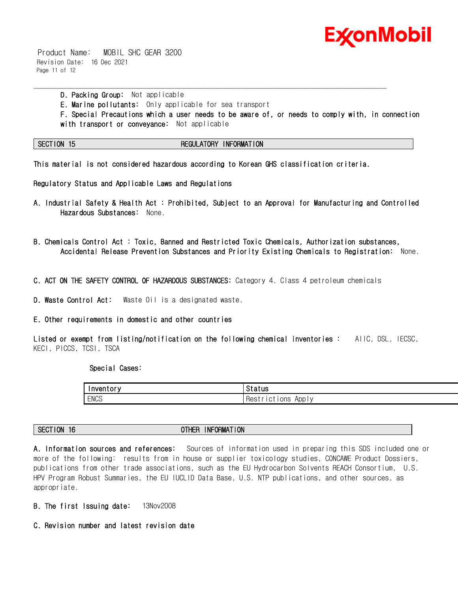

 Product Name: MOBIL SHC GEAR 3200 Revision Date: 16 Dec 2021 Page 11 of 12

> **D. Packing Group:** Not applicable **E. Marine pollutants:** Only applicable for sea transport **F. Special Precautions which a user needs to be aware of, or needs to comply with, in connection with transport or conveyance:** Not applicable

**SECTION 15 REGULATORY INFORMATION**

**This material is not considered hazardous according to Korean GHS classification criteria.** 

\_\_\_\_\_\_\_\_\_\_\_\_\_\_\_\_\_\_\_\_\_\_\_\_\_\_\_\_\_\_\_\_\_\_\_\_\_\_\_\_\_\_\_\_\_\_\_\_\_\_\_\_\_\_\_\_\_\_\_\_\_\_\_\_\_\_\_\_\_\_\_\_\_\_\_\_\_\_\_\_\_\_\_\_\_\_\_\_\_\_\_\_\_\_\_\_\_\_\_\_\_\_\_\_\_\_\_\_\_\_\_\_\_\_\_\_\_\_

**Regulatory Status and Applicable Laws and Regulations** 

- **A. Industrial Safety & Health Act : Prohibited, Subject to an Approval for Manufacturing and Controlled Hazardous Substances:** None.
- **B. Chemicals Control Act : Toxic, Banned and Restricted Toxic Chemicals, Authorization substances, Accidental Release Prevention Substances and Priority Existing Chemicals to Registration:** None.
- **C. ACT ON THE SAFETY CONTROL OF HAZARDOUS SUBSTANCES:** Category 4. Class 4 petroleum chemicals

**D. Waste Control Act:** Waste Oil is a designated waste.

#### **E. Other requirements in domestic and other countries**

**Listed or exempt from listing/notification on the following chemical inventories :** AIIC, DSL, IECSC, KECI, PICCS, TCSI, TSCA

 **Special Cases:** 

| Inventory   | <b>Status</b>                                         |
|-------------|-------------------------------------------------------|
| <b>ENCS</b> | App I<br><b>IONS</b><br>: Hestr<br>∵IC∟<br>$\sqrt{ }$ |

| <b>NF</b><br>FORMATION<br>SECT<br><b>ION</b><br>16<br><b>OTLICD</b><br>πс<br>n<br>-------- |  |
|--------------------------------------------------------------------------------------------|--|
|--------------------------------------------------------------------------------------------|--|

**A. Information sources and references:** Sources of information used in preparing this SDS included one or more of the following: results from in house or supplier toxicology studies, CONCAWE Product Dossiers, publications from other trade associations, such as the EU Hydrocarbon Solvents REACH Consortium, U.S. HPV Program Robust Summaries, the EU IUCLID Data Base, U.S. NTP publications, and other sources, as appropriate.

- **B. The first Issuing date:** 13Nov2008
- **C. Revision number and latest revision date**